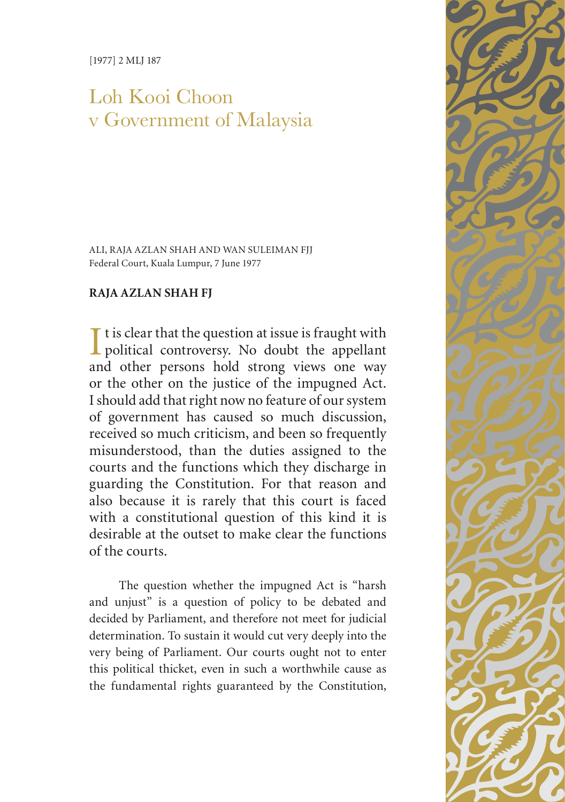[1977] 2 MLJ 187

# Loh Kooi Choon v Government of Malaysia

ALI, RAJA AZLAN SHAH AND WAN SULEIMAN FJJ Federal Court, Kuala Lumpur, 7 June 1977

# **RAJA AZLAN SHAH FJ**

I t is clear that the question at issue is fraught with<br>political controversy. No doubt the appellant  $\blacksquare$  t is clear that the question at issue is fraught with and other persons hold strong views one way or the other on the justice of the impugned Act. I should add that right now no feature of our system of government has caused so much discussion, received so much criticism, and been so frequently misunderstood, than the duties assigned to the courts and the functions which they discharge in guarding the Constitution. For that reason and also because it is rarely that this court is faced with a constitutional question of this kind it is desirable at the outset to make clear the functions of the courts.

The question whether the impugned Act is "harsh and unjust" is a question of policy to be debated and decided by Parliament, and therefore not meet for judicial determination. To sustain it would cut very deeply into the very being of Parliament. Our courts ought not to enter this political thicket, even in such a worthwhile cause as the fundamental rights guaranteed by the Constitution,

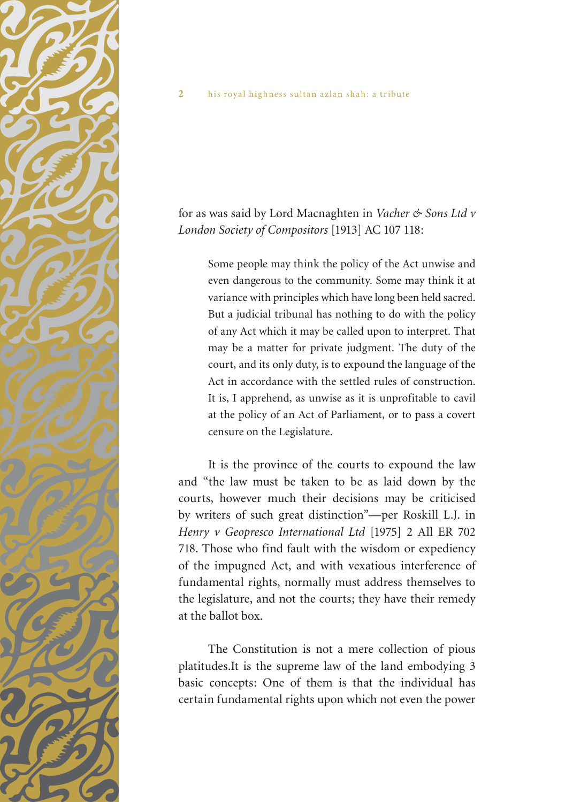

for as was said by Lord Macnaghten in *Vacher & Sons Ltd v London Society of Compositors* [1913] AC 107 118:

Some people may think the policy of the Act unwise and even dangerous to the community. Some may think it at variance with principles which have long been held sacred. But a judicial tribunal has nothing to do with the policy of any Act which it may be called upon to interpret. That may be a matter for private judgment. The duty of the court, and its only duty, is to expound the language of the Act in accordance with the settled rules of construction. It is, I apprehend, as unwise as it is unprofitable to cavil at the policy of an Act of Parliament, or to pass a covert censure on the Legislature.

It is the province of the courts to expound the law and "the law must be taken to be as laid down by the courts, however much their decisions may be criticised by writers of such great distinction"—per Roskill L.J. in *Henry v Geopresco International Ltd* [1975] 2 All ER 702 718. Those who find fault with the wisdom or expediency of the impugned Act, and with vexatious interference of fundamental rights, normally must address themselves to the legislature, and not the courts; they have their remedy at the ballot box.

The Constitution is not a mere collection of pious platitudes.It is the supreme law of the land embodying 3 basic concepts: One of them is that the individual has certain fundamental rights upon which not even the power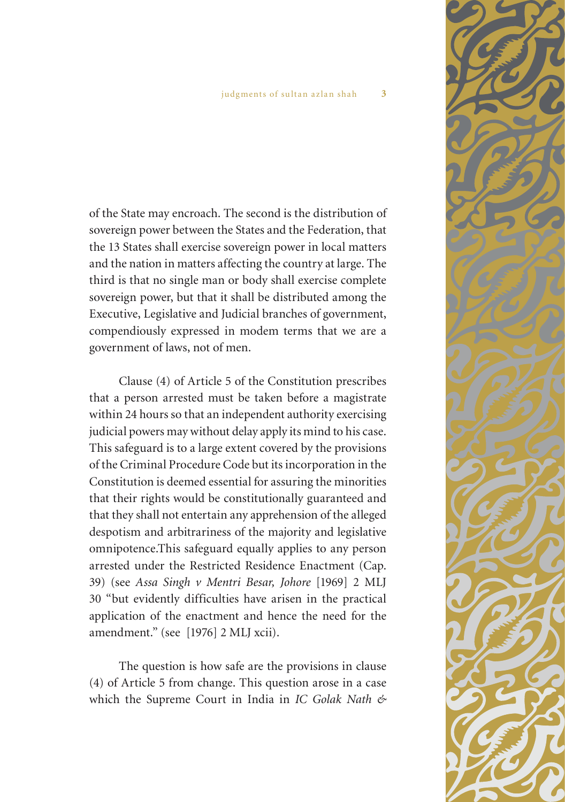of the State may encroach. The second is the distribution of sovereign power between the States and the Federation, that the 13 States shall exercise sovereign power in local matters and the nation in matters affecting the country at large. The third is that no single man or body shall exercise complete sovereign power, but that it shall be distributed among the Executive, Legislative and Judicial branches of government, compendiously expressed in modem terms that we are a government of laws, not of men.

Clause (4) of Article 5 of the Constitution prescribes that a person arrested must be taken before a magistrate within 24 hours so that an independent authority exercising judicial powers may without delay apply its mind to his case. This safeguard is to a large extent covered by the provisions of the Criminal Procedure Code but its incorporation in the Constitution is deemed essential for assuring the minorities that their rights would be constitutionally guaranteed and that they shall not entertain any apprehension of the alleged despotism and arbitrariness of the majority and legislative omnipotence.This safeguard equally applies to any person arrested under the Restricted Residence Enactment (Cap. 39) (see *Assa Singh v Mentri Besar, Johore* [1969] 2 MLJ 30 "but evidently difficulties have arisen in the practical application of the enactment and hence the need for the amendment." (see [1976] 2 MLJ xcii).

The question is how safe are the provisions in clause (4) of Article 5 from change. This question arose in a case which the Supreme Court in India in *IC Golak Nath &* 

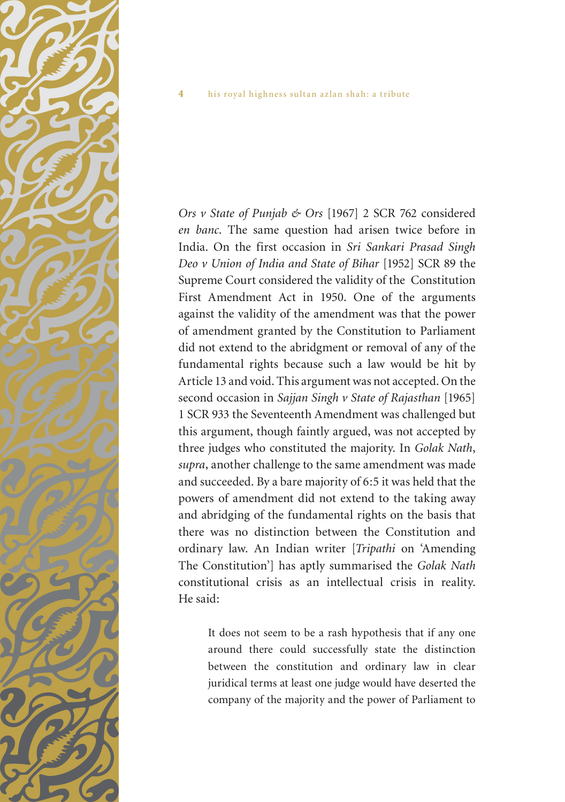

*Ors v State of Punjab & Ors* [1967] 2 SCR 762 considered *en banc*. The same question had arisen twice before in India. On the first occasion in *Sri Sankari Prasad Singh Deo v Union of India and State of Bihar* [1952] SCR 89 the Supreme Court considered the validity of the Constitution First Amendment Act in 1950. One of the arguments against the validity of the amendment was that the power of amendment granted by the Constitution to Parliament did not extend to the abridgment or removal of any of the fundamental rights because such a law would be hit by Article 13 and void. This argument was not accepted. On the second occasion in *Sajjan Singh v State of Rajasthan* [1965] 1 SCR 933 the Seventeenth Amendment was challenged but this argument, though faintly argued, was not accepted by three judges who constituted the majority. In *Golak Nath*, *supra*, another challenge to the same amendment was made and succeeded. By a bare majority of 6:5 it was held that the powers of amendment did not extend to the taking away and abridging of the fundamental rights on the basis that there was no distinction between the Constitution and ordinary law. An Indian writer [*Tripathi* on 'Amending The Constitution'] has aptly summarised the *Golak Nath* constitutional crisis as an intellectual crisis in reality. He said:

It does not seem to be a rash hypothesis that if any one around there could successfully state the distinction between the constitution and ordinary law in clear juridical terms at least one judge would have deserted the company of the majority and the power of Parliament to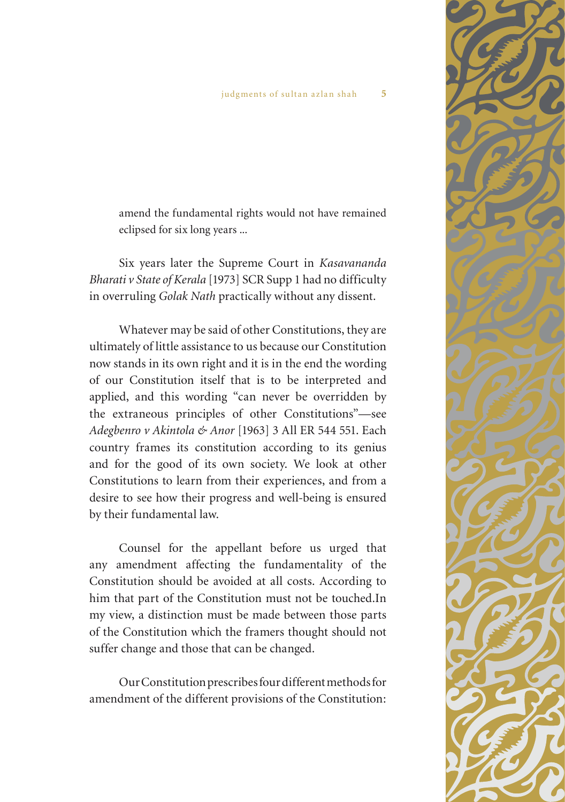amend the fundamental rights would not have remained eclipsed for six long years ...

Six years later the Supreme Court in *Kasavananda Bharati v State of Kerala* [1973] SCR Supp 1 had no difficulty in overruling *Golak Nath* practically without any dissent.

Whatever may be said of other Constitutions, they are ultimately of little assistance to us because our Constitution now stands in its own right and it is in the end the wording of our Constitution itself that is to be interpreted and applied, and this wording "can never be overridden by the extraneous principles of other Constitutions"—see *Adegbenro v Akintola & Anor* [1963] 3 All ER 544 551. Each country frames its constitution according to its genius and for the good of its own society. We look at other Constitutions to learn from their experiences, and from a desire to see how their progress and well-being is ensured by their fundamental law.

Counsel for the appellant before us urged that any amendment affecting the fundamentality of the Constitution should be avoided at all costs. According to him that part of the Constitution must not be touched.In my view, a distinction must be made between those parts of the Constitution which the framers thought should not suffer change and those that can be changed.

Our Constitution prescribes four different methods for amendment of the different provisions of the Constitution:

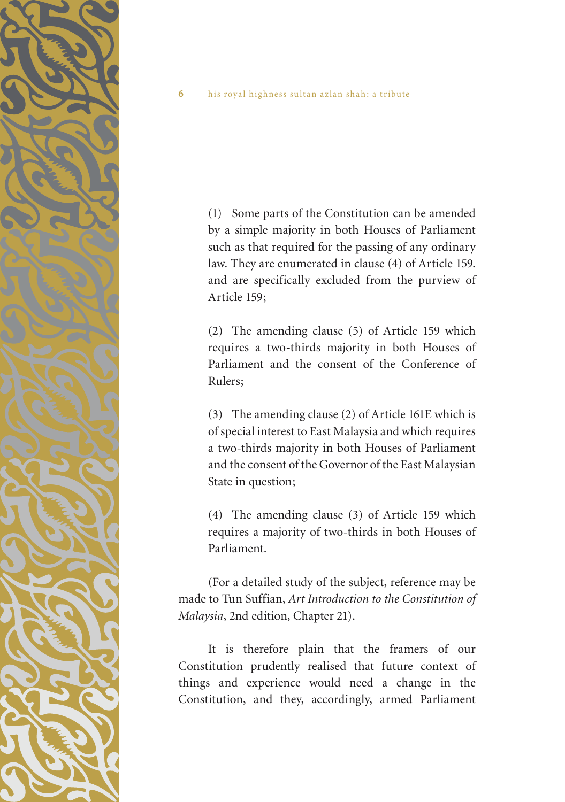

(1) Some parts of the Constitution can be amended by a simple majority in both Houses of Parliament such as that required for the passing of any ordinary law. They are enumerated in clause (4) of Article 159. and are specifically excluded from the purview of Article 159;

(2) The amending clause (5) of Article 159 which requires a two-thirds majority in both Houses of Parliament and the consent of the Conference of Rulers;

(3) The amending clause (2) of Article 161E which is of special interest to East Malaysia and which requires a two-thirds majority in both Houses of Parliament and the consent of the Governor of the East Malaysian State in question;

(4) The amending clause (3) of Article 159 which requires a majority of two-thirds in both Houses of Parliament.

(For a detailed study of the subject, reference may be made to Tun Suffian, *Art Introduction to the Constitution of Malaysia*, 2nd edition, Chapter 21).

It is therefore plain that the framers of our Constitution prudently realised that future context of things and experience would need a change in the Constitution, and they, accordingly, armed Parliament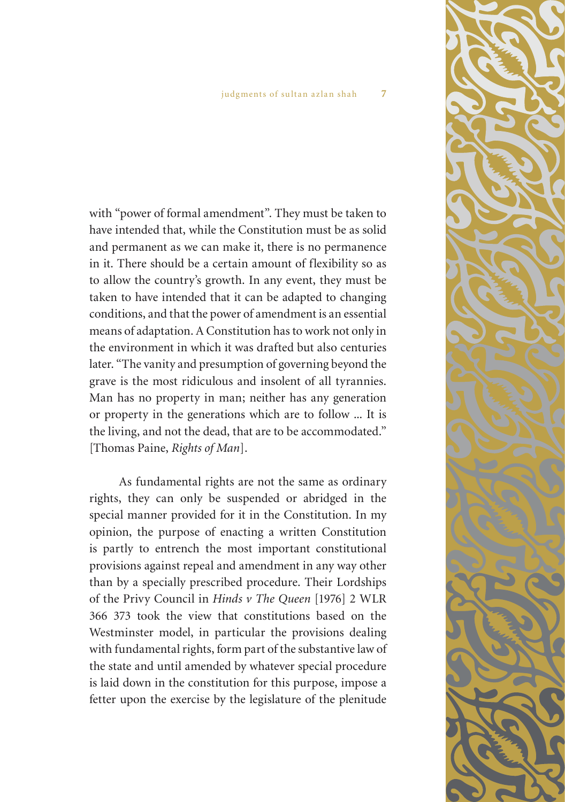with "power of formal amendment". They must be taken to have intended that, while the Constitution must be as solid and permanent as we can make it, there is no permanence in it. There should be a certain amount of flexibility so as to allow the country's growth. In any event, they must be taken to have intended that it can be adapted to changing conditions, and that the power of amendment is an essential means of adaptation. A Constitution has to work not only in the environment in which it was drafted but also centuries later. "The vanity and presumption of governing beyond the grave is the most ridiculous and insolent of all tyrannies. Man has no property in man; neither has any generation or property in the generations which are to follow ... It is the living, and not the dead, that are to be accommodated." [Thomas Paine, *Rights of Man*].

As fundamental rights are not the same as ordinary rights, they can only be suspended or abridged in the special manner provided for it in the Constitution. In my opinion, the purpose of enacting a written Constitution is partly to entrench the most important constitutional provisions against repeal and amendment in any way other than by a specially prescribed procedure. Their Lordships of the Privy Council in *Hinds v The Queen* [1976] 2 WLR 366 373 took the view that constitutions based on the Westminster model, in particular the provisions dealing with fundamental rights, form part of the substantive law of the state and until amended by whatever special procedure is laid down in the constitution for this purpose, impose a fetter upon the exercise by the legislature of the plenitude

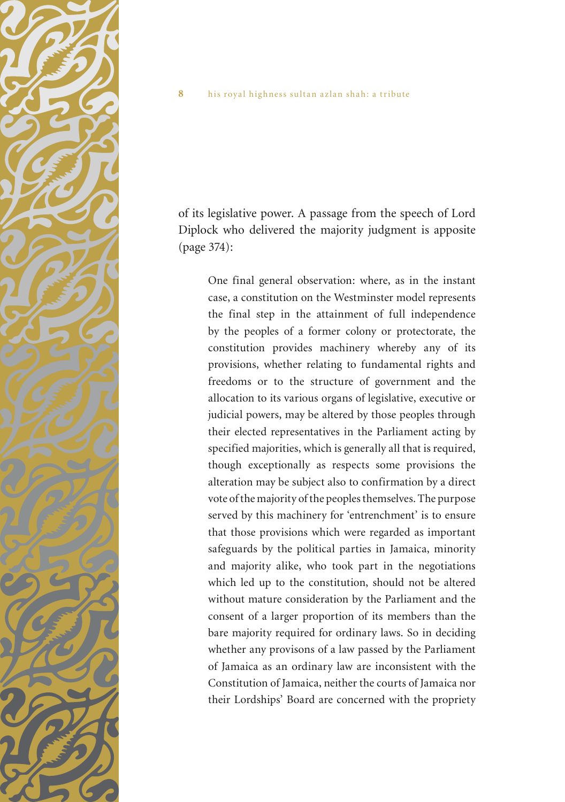

of its legislative power. A passage from the speech of Lord Diplock who delivered the majority judgment is apposite (page 374):

One final general observation: where, as in the instant case, a constitution on the Westminster model represents the final step in the attainment of full independence by the peoples of a former colony or protectorate, the constitution provides machinery whereby any of its provisions, whether relating to fundamental rights and freedoms or to the structure of government and the allocation to its various organs of legislative, executive or judicial powers, may be altered by those peoples through their elected representatives in the Parliament acting by specified majorities, which is generally all that is required, though exceptionally as respects some provisions the alteration may be subject also to confirmation by a direct vote of the majority of the peoples themselves. The purpose served by this machinery for 'entrenchment' is to ensure that those provisions which were regarded as important safeguards by the political parties in Jamaica, minority and majority alike, who took part in the negotiations which led up to the constitution, should not be altered without mature consideration by the Parliament and the consent of a larger proportion of its members than the bare majority required for ordinary laws. So in deciding whether any provisons of a law passed by the Parliament of Jamaica as an ordinary law are inconsistent with the Constitution of Jamaica, neither the courts of Jamaica nor their Lordships' Board are concerned with the propriety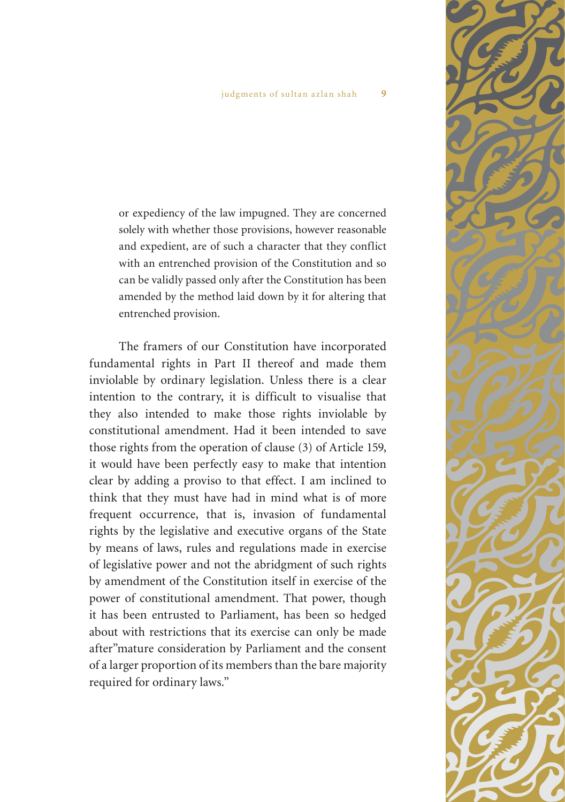or expediency of the law impugned. They are concerned solely with whether those provisions, however reasonable and expedient, are of such a character that they conflict with an entrenched provision of the Constitution and so can be validly passed only after the Constitution has been amended by the method laid down by it for altering that entrenched provision.

The framers of our Constitution have incorporated fundamental rights in Part II thereof and made them inviolable by ordinary legislation. Unless there is a clear intention to the contrary, it is difficult to visualise that they also intended to make those rights inviolable by constitutional amendment. Had it been intended to save those rights from the operation of clause (3) of Article 159, it would have been perfectly easy to make that intention clear by adding a proviso to that effect. I am inclined to think that they must have had in mind what is of more frequent occurrence, that is, invasion of fundamental rights by the legislative and executive organs of the State by means of laws, rules and regulations made in exercise of legislative power and not the abridgment of such rights by amendment of the Constitution itself in exercise of the power of constitutional amendment. That power, though it has been entrusted to Parliament, has been so hedged about with restrictions that its exercise can only be made after"mature consideration by Parliament and the consent of a larger proportion of its members than the bare majority required for ordinary laws."

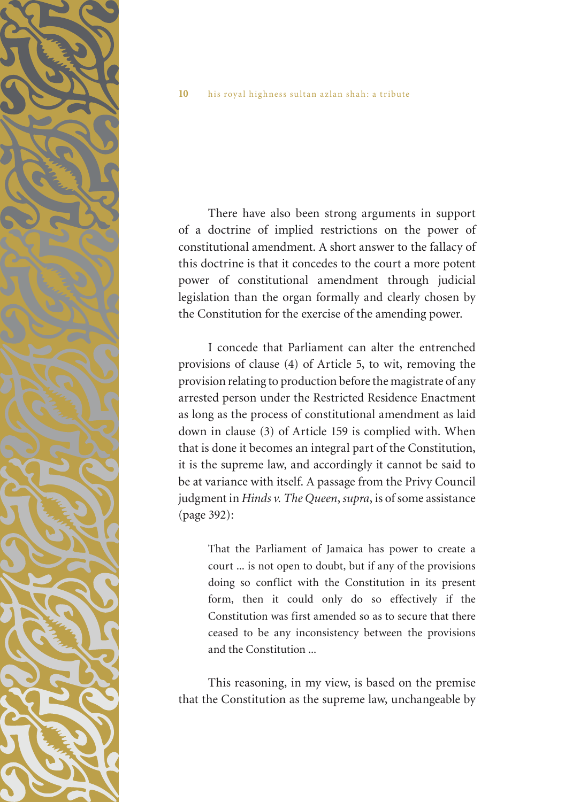

There have also been strong arguments in support of a doctrine of implied restrictions on the power of constitutional amendment. A short answer to the fallacy of this doctrine is that it concedes to the court a more potent power of constitutional amendment through judicial legislation than the organ formally and clearly chosen by the Constitution for the exercise of the amending power.

I concede that Parliament can alter the entrenched provisions of clause (4) of Article 5, to wit, removing the provision relating to production before the magistrate of any arrested person under the Restricted Residence Enactment as long as the process of constitutional amendment as laid down in clause (3) of Article 159 is complied with. When that is done it becomes an integral part of the Constitution, it is the supreme law, and accordingly it cannot be said to be at variance with itself. A passage from the Privy Council judgment in *Hinds v. The Queen*, *supra*, is of some assistance (page 392):

> That the Parliament of Jamaica has power to create a court ... is not open to doubt, but if any of the provisions doing so conflict with the Constitution in its present form, then it could only do so effectively if the Constitution was first amended so as to secure that there ceased to be any inconsistency between the provisions and the Constitution ...

This reasoning, in my view, is based on the premise that the Constitution as the supreme law, unchangeable by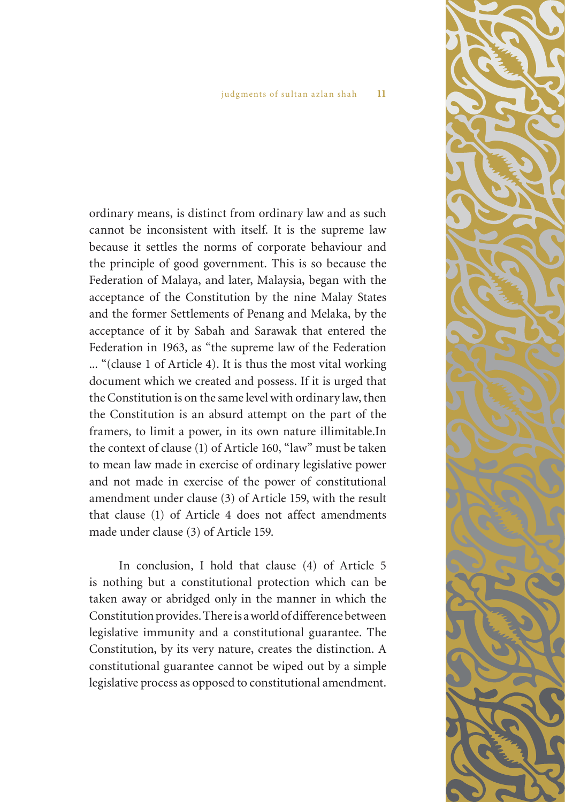ordinary means, is distinct from ordinary law and as such cannot be inconsistent with itself. It is the supreme law because it settles the norms of corporate behaviour and the principle of good government. This is so because the Federation of Malaya, and later, Malaysia, began with the acceptance of the Constitution by the nine Malay States and the former Settlements of Penang and Melaka, by the acceptance of it by Sabah and Sarawak that entered the Federation in 1963, as "the supreme law of the Federation ... "(clause 1 of Article 4). It is thus the most vital working document which we created and possess. If it is urged that the Constitution is on the same level with ordinary law, then the Constitution is an absurd attempt on the part of the framers, to limit a power, in its own nature illimitable.In the context of clause (1) of Article 160, "law" must be taken to mean law made in exercise of ordinary legislative power and not made in exercise of the power of constitutional amendment under clause (3) of Article 159, with the result that clause (1) of Article 4 does not affect amendments made under clause (3) of Article 159.

In conclusion, I hold that clause (4) of Article 5 is nothing but a constitutional protection which can be taken away or abridged only in the manner in which the Constitution provides. There is a world of difference between legislative immunity and a constitutional guarantee. The Constitution, by its very nature, creates the distinction. A constitutional guarantee cannot be wiped out by a simple legislative process as opposed to constitutional amendment.

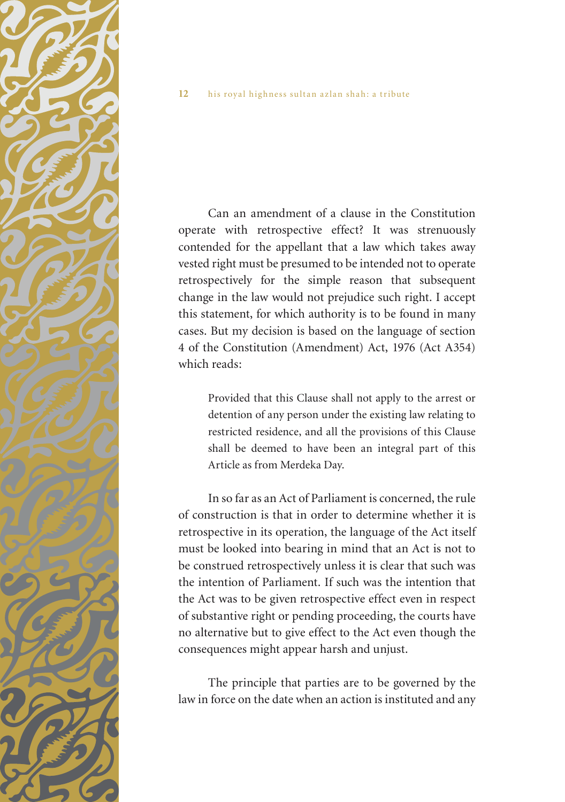Can an amendment of a clause in the Constitution operate with retrospective effect? It was strenuously contended for the appellant that a law which takes away vested right must be presumed to be intended not to operate retrospectively for the simple reason that subsequent change in the law would not prejudice such right. I accept this statement, for which authority is to be found in many cases. But my decision is based on the language of section 4 of the Constitution (Amendment) Act, 1976 (Act A354) which reads:

Provided that this Clause shall not apply to the arrest or detention of any person under the existing law relating to restricted residence, and all the provisions of this Clause shall be deemed to have been an integral part of this Article as from Merdeka Day.

In so far as an Act of Parliament is concerned, the rule of construction is that in order to determine whether it is retrospective in its operation, the language of the Act itself must be looked into bearing in mind that an Act is not to be construed retrospectively unless it is clear that such was the intention of Parliament. If such was the intention that the Act was to be given retrospective effect even in respect of substantive right or pending proceeding, the courts have no alternative but to give effect to the Act even though the consequences might appear harsh and unjust.

The principle that parties are to be governed by the law in force on the date when an action is instituted and any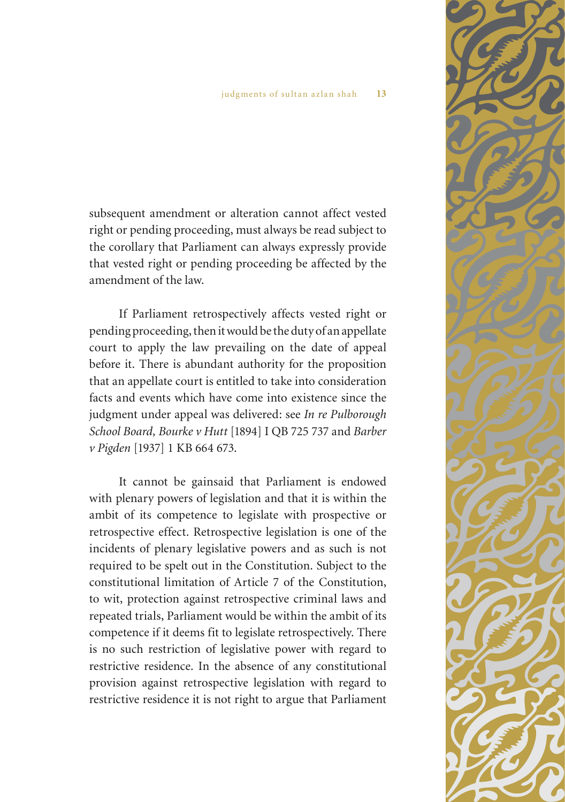subsequent amendment or alteration cannot affect vested right or pending proceeding, must always be read subject to the corollary that Parliament can always expressly provide that vested right or pending proceeding be affected by the amendment of the law.

If Parliament retrospectively affects vested right or pending proceeding, then it would be the duty of an appellate court to apply the law prevailing on the date of appeal before it. There is abundant authority for the proposition that an appellate court is entitled to take into consideration facts and events which have come into existence since the judgment under appeal was delivered: see *In re Pulborough School Board, Bourke v Hutt* [1894] I QB 725 737 and *Barber v Pigden* [1937] 1 KB 664 673.

It cannot be gainsaid that Parliament is endowed with plenary powers of legislation and that it is within the ambit of its competence to legislate with prospective or retrospective effect. Retrospective legislation is one of the incidents of plenary legislative powers and as such is not required to be spelt out in the Constitution. Subject to the constitutional limitation of Article 7 of the Constitution, to wit, protection against retrospective criminal laws and repeated trials, Parliament would be within the ambit of its competence if it deems fit to legislate retrospectively. There is no such restriction of legislative power with regard to restrictive residence. In the absence of any constitutional provision against retrospective legislation with regard to restrictive residence it is not right to argue that Parliament